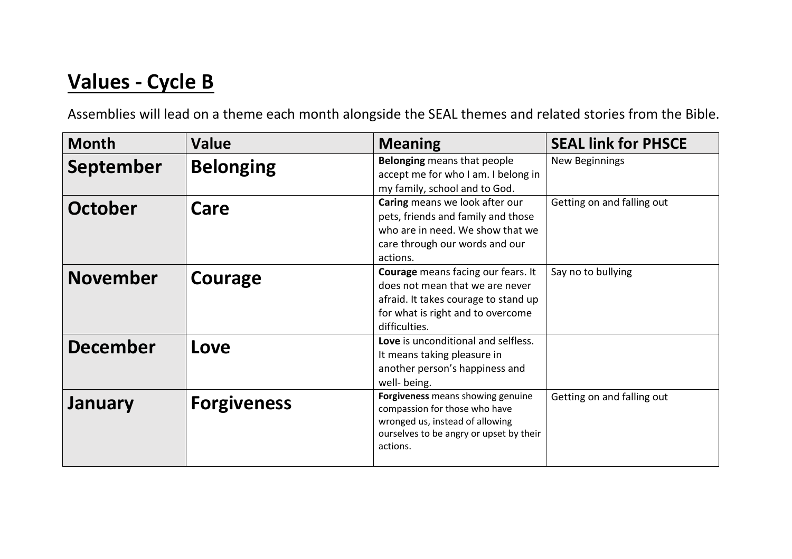## Values - Cycle B

Assemblies will lead on a theme each month alongside the SEAL themes and related stories from the Bible.

| <b>Month</b>     | <b>Value</b>       | <b>Meaning</b>                                                                                                                                                      | <b>SEAL link for PHSCE</b> |
|------------------|--------------------|---------------------------------------------------------------------------------------------------------------------------------------------------------------------|----------------------------|
| <b>September</b> | <b>Belonging</b>   | <b>Belonging</b> means that people<br>accept me for who I am. I belong in<br>my family, school and to God.                                                          | New Beginnings             |
| <b>October</b>   | Care               | Caring means we look after our<br>pets, friends and family and those<br>who are in need. We show that we<br>care through our words and our<br>actions.              | Getting on and falling out |
| <b>November</b>  | Courage            | Courage means facing our fears. It<br>does not mean that we are never<br>afraid. It takes courage to stand up<br>for what is right and to overcome<br>difficulties. | Say no to bullying         |
| <b>December</b>  | Love               | Love is unconditional and selfless.<br>It means taking pleasure in<br>another person's happiness and<br>well- being.                                                |                            |
| January          | <b>Forgiveness</b> | Forgiveness means showing genuine<br>compassion for those who have<br>wronged us, instead of allowing<br>ourselves to be angry or upset by their<br>actions.        | Getting on and falling out |